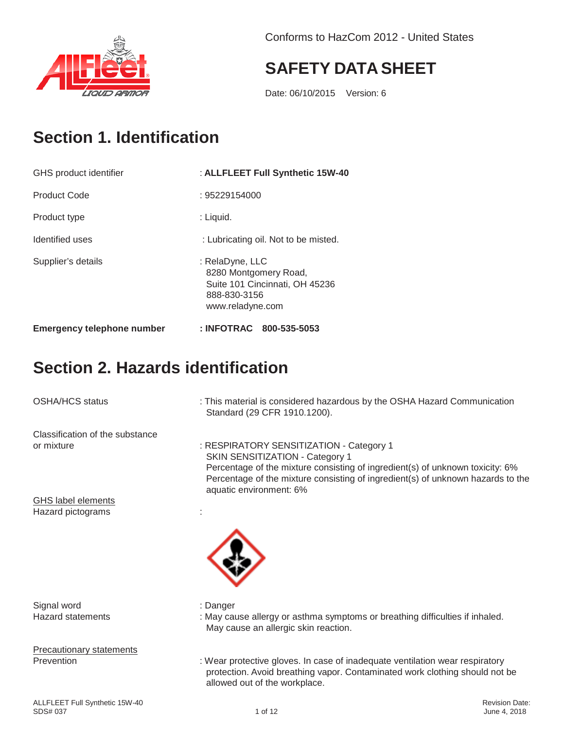



### **SAFETY DATA SHEET**

Date: 06/10/2015 Version: 6

### **Section 1. Identification**

| GHS product identifier            | : ALLFLEET Full Synthetic 15W-40                                                                               |
|-----------------------------------|----------------------------------------------------------------------------------------------------------------|
| <b>Product Code</b>               | : 95229154000                                                                                                  |
| Product type                      | : Liquid.                                                                                                      |
| Identified uses                   | : Lubricating oil. Not to be misted.                                                                           |
| Supplier's details                | : RelaDyne, LLC<br>8280 Montgomery Road,<br>Suite 101 Cincinnati, OH 45236<br>888-830-3156<br>www.reladyne.com |
| <b>Emergency telephone number</b> | : INFOTRAC 800-535-5053                                                                                        |

### **Section 2. Hazards identification**

OSHA/HCS status : This material is considered hazardous by the OSHA Hazard Communication

Classification of the substance<br>or mixture

: RESPIRATORY SENSITIZATION - Category 1 SKIN SENSITIZATION - Category 1 Percentage of the mixture consisting of ingredient(s) of unknown toxicity: 6% Percentage of the mixture consisting of ingredient(s) of unknown hazards to the

GHS label elements Hazard pictograms in the state of the state of the state of the state of the state of the state of the state o

Signal word : Danger

Precautionary statements



- 
- Hazard statements : May cause allergy or asthma symptoms or breathing difficulties if inhaled. May cause an allergic skin reaction.

Prevention : Wear protective gloves. In case of inadequate ventilation wear respiratory protection. Avoid breathing vapor. Contaminated work clothing should not be allowed out of the workplace.

Standard (29 CFR 1910.1200).

aquatic environment: 6%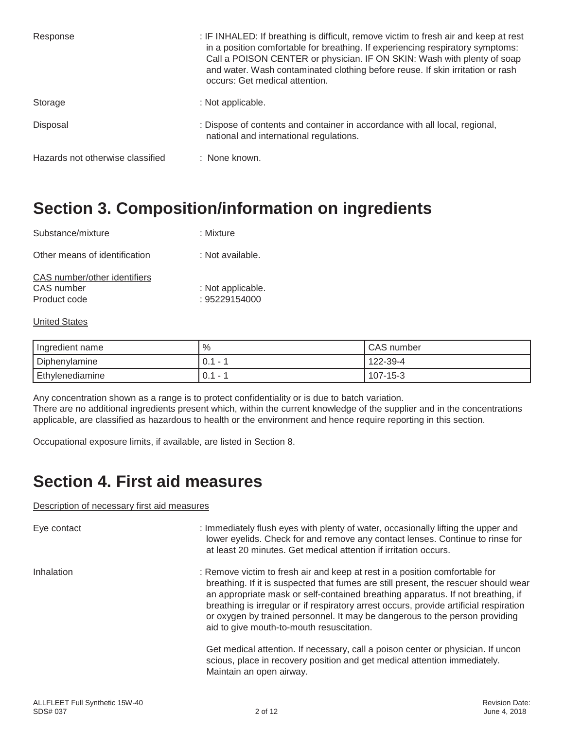| Response                         | : IF INHALED: If breathing is difficult, remove victim to fresh air and keep at rest<br>in a position comfortable for breathing. If experiencing respiratory symptoms:<br>Call a POISON CENTER or physician. IF ON SKIN: Wash with plenty of soap<br>and water. Wash contaminated clothing before reuse. If skin irritation or rash<br>occurs: Get medical attention. |
|----------------------------------|-----------------------------------------------------------------------------------------------------------------------------------------------------------------------------------------------------------------------------------------------------------------------------------------------------------------------------------------------------------------------|
| Storage                          | : Not applicable.                                                                                                                                                                                                                                                                                                                                                     |
| Disposal                         | : Dispose of contents and container in accordance with all local, regional,<br>national and international regulations.                                                                                                                                                                                                                                                |
| Hazards not otherwise classified | : None known.                                                                                                                                                                                                                                                                                                                                                         |

### **Section 3. Composition/information on ingredients**

| Substance/mixture                                          | : Mixture                          |
|------------------------------------------------------------|------------------------------------|
| Other means of identification                              | : Not available.                   |
| CAS number/other identifiers<br>CAS number<br>Product code | : Not applicable.<br>: 95229154000 |
| <b>United States</b>                                       |                                    |

Ingredient name  $\vert \% \vert$  /  $\vert$   $\sim$   $\vert$  CAS number Diphenylamine **122-39-4**  $\begin{bmatrix} 0.1 - 1 \\ 0.1 - 1 \end{bmatrix}$  122-39-4 Ethylenediamine 0.1 - 1 107-15-3

Any concentration shown as a range is to protect confidentiality or is due to batch variation. There are no additional ingredients present which, within the current knowledge of the supplier and in the concentrations applicable, are classified as hazardous to health or the environment and hence require reporting in this section.

Occupational exposure limits, if available, are listed in Section 8.

### **Section 4. First aid measures**

#### Description of necessary first aid measures

Eye contact **induces in the set of the U.S.** Immediately flush eyes with plenty of water, occasionally lifting the upper and lower eyelids. Check for and remove any contact lenses. Continue to rinse for at least 20 minutes. Get medical attention if irritation occurs.

Inhalation : Remove victim to fresh air and keep at rest in a position comfortable for breathing. If it is suspected that fumes are still present, the rescuer should wear an appropriate mask or self-contained breathing apparatus. If not breathing, if breathing is irregular or if respiratory arrest occurs, provide artificial respiration or oxygen by trained personnel. It may be dangerous to the person providing aid to give mouth-to-mouth resuscitation.

> Get medical attention. If necessary, call a poison center or physician. If uncon scious, place in recovery position and get medical attention immediately. Maintain an open airway.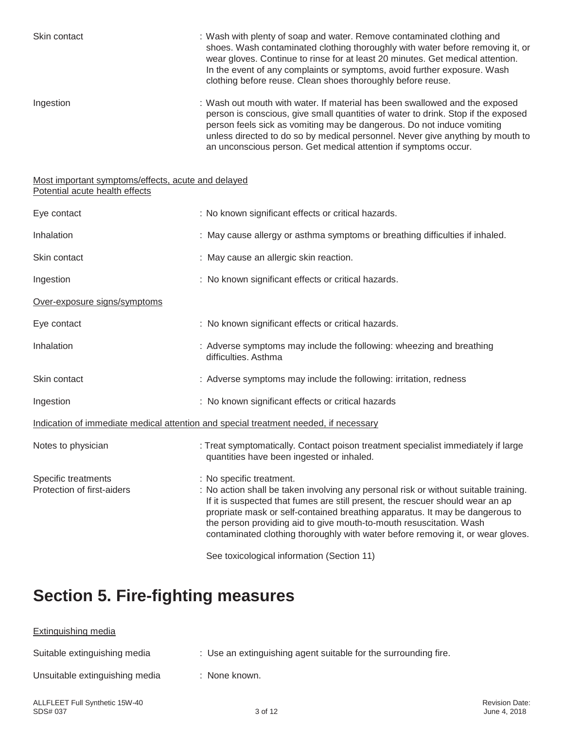| Skin contact                                                                         | : Wash with plenty of soap and water. Remove contaminated clothing and<br>shoes. Wash contaminated clothing thoroughly with water before removing it, or<br>wear gloves. Continue to rinse for at least 20 minutes. Get medical attention.<br>In the event of any complaints or symptoms, avoid further exposure. Wash<br>clothing before reuse. Clean shoes thoroughly before reuse.                                                        |  |
|--------------------------------------------------------------------------------------|----------------------------------------------------------------------------------------------------------------------------------------------------------------------------------------------------------------------------------------------------------------------------------------------------------------------------------------------------------------------------------------------------------------------------------------------|--|
| Ingestion                                                                            | : Wash out mouth with water. If material has been swallowed and the exposed<br>person is conscious, give small quantities of water to drink. Stop if the exposed<br>person feels sick as vomiting may be dangerous. Do not induce vomiting<br>unless directed to do so by medical personnel. Never give anything by mouth to<br>an unconscious person. Get medical attention if symptoms occur.                                              |  |
| Most important symptoms/effects, acute and delayed<br>Potential acute health effects |                                                                                                                                                                                                                                                                                                                                                                                                                                              |  |
| Eye contact                                                                          | : No known significant effects or critical hazards.                                                                                                                                                                                                                                                                                                                                                                                          |  |
| Inhalation                                                                           | : May cause allergy or asthma symptoms or breathing difficulties if inhaled.                                                                                                                                                                                                                                                                                                                                                                 |  |
| Skin contact                                                                         | : May cause an allergic skin reaction.                                                                                                                                                                                                                                                                                                                                                                                                       |  |
| Ingestion                                                                            | : No known significant effects or critical hazards.                                                                                                                                                                                                                                                                                                                                                                                          |  |
| Over-exposure signs/symptoms                                                         |                                                                                                                                                                                                                                                                                                                                                                                                                                              |  |
| Eye contact                                                                          | : No known significant effects or critical hazards.                                                                                                                                                                                                                                                                                                                                                                                          |  |
| Inhalation                                                                           | : Adverse symptoms may include the following: wheezing and breathing<br>difficulties. Asthma                                                                                                                                                                                                                                                                                                                                                 |  |
| Skin contact                                                                         | : Adverse symptoms may include the following: irritation, redness                                                                                                                                                                                                                                                                                                                                                                            |  |
| Ingestion                                                                            | : No known significant effects or critical hazards                                                                                                                                                                                                                                                                                                                                                                                           |  |
| Indication of immediate medical attention and special treatment needed, if necessary |                                                                                                                                                                                                                                                                                                                                                                                                                                              |  |
| Notes to physician                                                                   | : Treat symptomatically. Contact poison treatment specialist immediately if large<br>quantities have been ingested or inhaled.                                                                                                                                                                                                                                                                                                               |  |
| Specific treatments<br>Protection of first-aiders                                    | : No specific treatment.<br>: No action shall be taken involving any personal risk or without suitable training.<br>If it is suspected that fumes are still present, the rescuer should wear an ap<br>propriate mask or self-contained breathing apparatus. It may be dangerous to<br>the person providing aid to give mouth-to-mouth resuscitation. Wash<br>contaminated clothing thoroughly with water before removing it, or wear gloves. |  |
|                                                                                      |                                                                                                                                                                                                                                                                                                                                                                                                                                              |  |

See toxicological information (Section 11)

## **Section 5. Fire-fighting measures**

# Extinguishing media Suitable extinguishing media : Use an extinguishing agent suitable for the surrounding fire. Unsuitable extinguishing media : None known.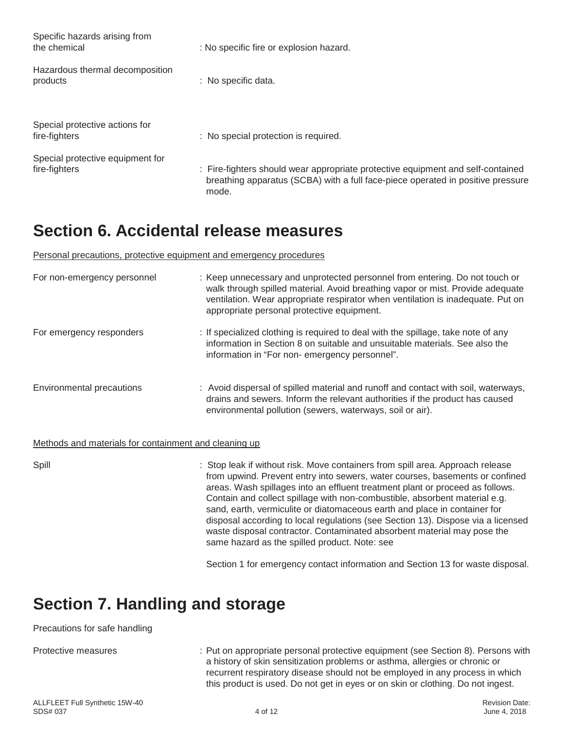| Specific hazards arising from<br>the chemical     | : No specific fire or explosion hazard.                                                                                                                                     |
|---------------------------------------------------|-----------------------------------------------------------------------------------------------------------------------------------------------------------------------------|
| Hazardous thermal decomposition<br>products       | : No specific data.                                                                                                                                                         |
| Special protective actions for<br>fire-fighters   | : No special protection is required.                                                                                                                                        |
| Special protective equipment for<br>fire-fighters | : Fire-fighters should wear appropriate protective equipment and self-contained<br>breathing apparatus (SCBA) with a full face-piece operated in positive pressure<br>mode. |

### **Section 6. Accidental release measures**

Personal precautions, protective equipment and emergency procedures

| For non-emergency personnel                           | : Keep unnecessary and unprotected personnel from entering. Do not touch or<br>walk through spilled material. Avoid breathing vapor or mist. Provide adequate<br>ventilation. Wear appropriate respirator when ventilation is inadequate. Put on<br>appropriate personal protective equipment. |
|-------------------------------------------------------|------------------------------------------------------------------------------------------------------------------------------------------------------------------------------------------------------------------------------------------------------------------------------------------------|
| For emergency responders                              | : If specialized clothing is required to deal with the spillage, take note of any<br>information in Section 8 on suitable and unsuitable materials. See also the<br>information in "For non-emergency personnel".                                                                              |
| Environmental precautions                             | : Avoid dispersal of spilled material and runoff and contact with soil, waterways,<br>drains and sewers. Inform the relevant authorities if the product has caused<br>environmental pollution (sewers, waterways, soil or air).                                                                |
| Methods and materials for containment and cleaning up |                                                                                                                                                                                                                                                                                                |
| Spill                                                 | : Stop leak if without risk. Move containers from spill area. Approach release<br>for an internal machines and the second contract and a second constant of contract of the fi                                                                                                                 |

from upwind. Prevent entry into sewers, water courses, basements or confined areas. Wash spillages into an effluent treatment plant or proceed as follows. Contain and collect spillage with non-combustible, absorbent material e.g. sand, earth, vermiculite or diatomaceous earth and place in container for disposal according to local regulations (see Section 13). Dispose via a licensed waste disposal contractor. Contaminated absorbent material may pose the same hazard as the spilled product. Note: see

Section 1 for emergency contact information and Section 13 for waste disposal.

### **Section 7. Handling and storage**

#### Precautions for safe handling

Protective measures : Put on appropriate personal protective equipment (see Section 8). Persons with a history of skin sensitization problems or asthma, allergies or chronic or recurrent respiratory disease should not be employed in any process in which this product is used. Do not get in eyes or on skin or clothing. Do not ingest.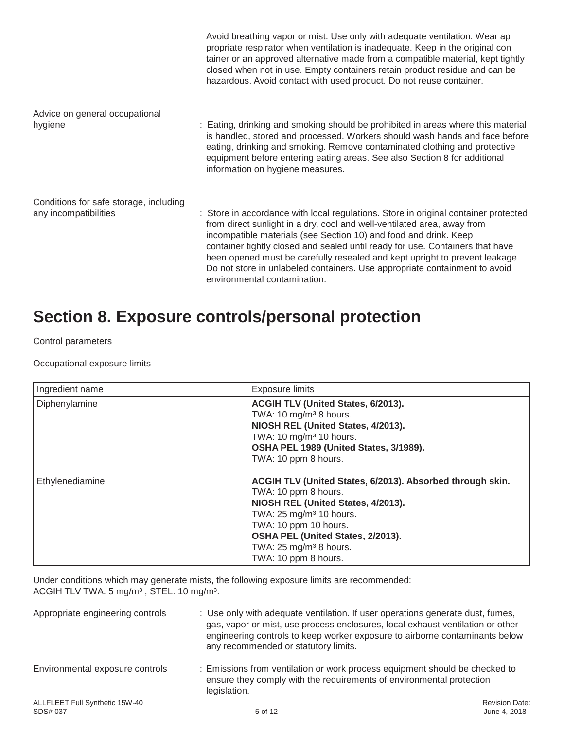| closed when not in use. Empty containers retain product residue and can be<br>hazardous. Avoid contact with used product. Do not reuse container.                                                                                                                                                                                                                                                                                                                                                                |
|------------------------------------------------------------------------------------------------------------------------------------------------------------------------------------------------------------------------------------------------------------------------------------------------------------------------------------------------------------------------------------------------------------------------------------------------------------------------------------------------------------------|
|                                                                                                                                                                                                                                                                                                                                                                                                                                                                                                                  |
| : Eating, drinking and smoking should be prohibited in areas where this material<br>is handled, stored and processed. Workers should wash hands and face before<br>eating, drinking and smoking. Remove contaminated clothing and protective<br>equipment before entering eating areas. See also Section 8 for additional<br>information on hygiene measures.                                                                                                                                                    |
|                                                                                                                                                                                                                                                                                                                                                                                                                                                                                                                  |
| : Store in accordance with local regulations. Store in original container protected<br>from direct sunlight in a dry, cool and well-ventilated area, away from<br>incompatible materials (see Section 10) and food and drink. Keep<br>container tightly closed and sealed until ready for use. Containers that have<br>been opened must be carefully resealed and kept upright to prevent leakage.<br>Do not store in unlabeled containers. Use appropriate containment to avoid<br>environmental contamination. |
|                                                                                                                                                                                                                                                                                                                                                                                                                                                                                                                  |

### **Section 8. Exposure controls/personal protection**

#### Control parameters

Occupational exposure limits

| Ingredient name | <b>Exposure limits</b>                                                                                                                                                                                                                                                                    |
|-----------------|-------------------------------------------------------------------------------------------------------------------------------------------------------------------------------------------------------------------------------------------------------------------------------------------|
| Diphenylamine   | ACGIH TLV (United States, 6/2013).<br>TWA: 10 mg/m <sup>3</sup> 8 hours.<br>NIOSH REL (United States, 4/2013).<br>TWA: 10 mg/m <sup>3</sup> 10 hours.<br>OSHA PEL 1989 (United States, 3/1989).<br>TWA: 10 ppm 8 hours.                                                                   |
| Ethylenediamine | ACGIH TLV (United States, 6/2013). Absorbed through skin.<br>TWA: 10 ppm 8 hours.<br>NIOSH REL (United States, 4/2013).<br>TWA: 25 mg/m <sup>3</sup> 10 hours.<br>TWA: 10 ppm 10 hours.<br>OSHA PEL (United States, 2/2013).<br>TWA: $25 \text{ mg/m}^3$ 8 hours.<br>TWA: 10 ppm 8 hours. |

Under conditions which may generate mists, the following exposure limits are recommended: ACGIH TLV TWA: 5 mg/m³ ; STEL: 10 mg/m³.

| Appropriate engineering controls           | : Use only with adequate ventilation. If user operations generate dust, fumes,<br>gas, vapor or mist, use process enclosures, local exhaust ventilation or other<br>engineering controls to keep worker exposure to airborne contaminants below<br>any recommended or statutory limits. |                                       |
|--------------------------------------------|-----------------------------------------------------------------------------------------------------------------------------------------------------------------------------------------------------------------------------------------------------------------------------------------|---------------------------------------|
| Environmental exposure controls            | : Emissions from ventilation or work process equipment should be checked to<br>ensure they comply with the requirements of environmental protection<br>legislation.                                                                                                                     |                                       |
| ALLFLEET Full Synthetic 15W-40<br>SDS# 037 | 5 of 12                                                                                                                                                                                                                                                                                 | <b>Revision Date:</b><br>June 4, 2018 |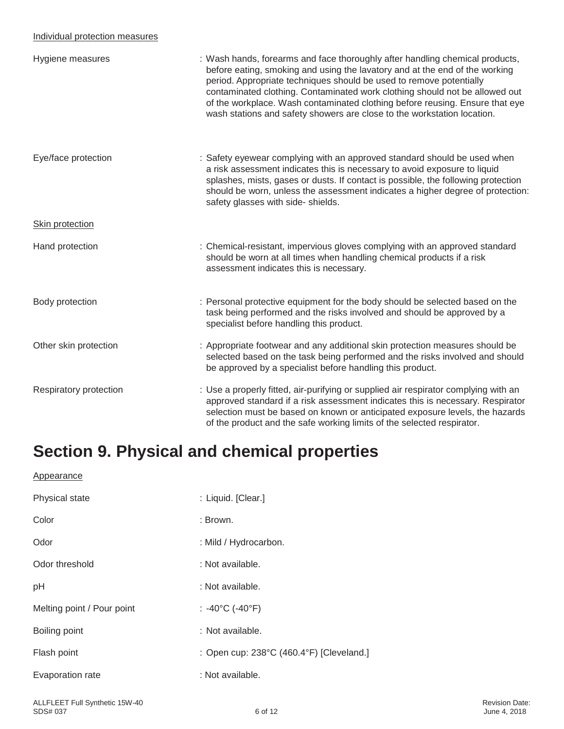#### Individual protection measures

| Hygiene measures       | : Wash hands, forearms and face thoroughly after handling chemical products,<br>before eating, smoking and using the lavatory and at the end of the working<br>period. Appropriate techniques should be used to remove potentially<br>contaminated clothing. Contaminated work clothing should not be allowed out<br>of the workplace. Wash contaminated clothing before reusing. Ensure that eye<br>wash stations and safety showers are close to the workstation location. |
|------------------------|------------------------------------------------------------------------------------------------------------------------------------------------------------------------------------------------------------------------------------------------------------------------------------------------------------------------------------------------------------------------------------------------------------------------------------------------------------------------------|
| Eye/face protection    | : Safety eyewear complying with an approved standard should be used when<br>a risk assessment indicates this is necessary to avoid exposure to liquid<br>splashes, mists, gases or dusts. If contact is possible, the following protection<br>should be worn, unless the assessment indicates a higher degree of protection:<br>safety glasses with side-shields.                                                                                                            |
| Skin protection        |                                                                                                                                                                                                                                                                                                                                                                                                                                                                              |
| Hand protection        | : Chemical-resistant, impervious gloves complying with an approved standard<br>should be worn at all times when handling chemical products if a risk<br>assessment indicates this is necessary.                                                                                                                                                                                                                                                                              |
| Body protection        | : Personal protective equipment for the body should be selected based on the<br>task being performed and the risks involved and should be approved by a<br>specialist before handling this product.                                                                                                                                                                                                                                                                          |
| Other skin protection  | : Appropriate footwear and any additional skin protection measures should be<br>selected based on the task being performed and the risks involved and should<br>be approved by a specialist before handling this product.                                                                                                                                                                                                                                                    |
| Respiratory protection | : Use a properly fitted, air-purifying or supplied air respirator complying with an<br>approved standard if a risk assessment indicates this is necessary. Respirator<br>selection must be based on known or anticipated exposure levels, the hazards<br>of the product and the safe working limits of the selected respirator.                                                                                                                                              |

### **Section 9. Physical and chemical properties**

| <b>Appearance</b>          |                                          |
|----------------------------|------------------------------------------|
| Physical state             | : Liquid. [Clear.]                       |
| Color                      | : Brown.                                 |
| Odor                       | : Mild / Hydrocarbon.                    |
| Odor threshold             | : Not available.                         |
| pH                         | : Not available.                         |
| Melting point / Pour point | : -40°C (-40°F)                          |
| Boiling point              | : Not available.                         |
| Flash point                | : Open cup: 238°C (460.4°F) [Cleveland.] |
| Evaporation rate           | : Not available.                         |
|                            |                                          |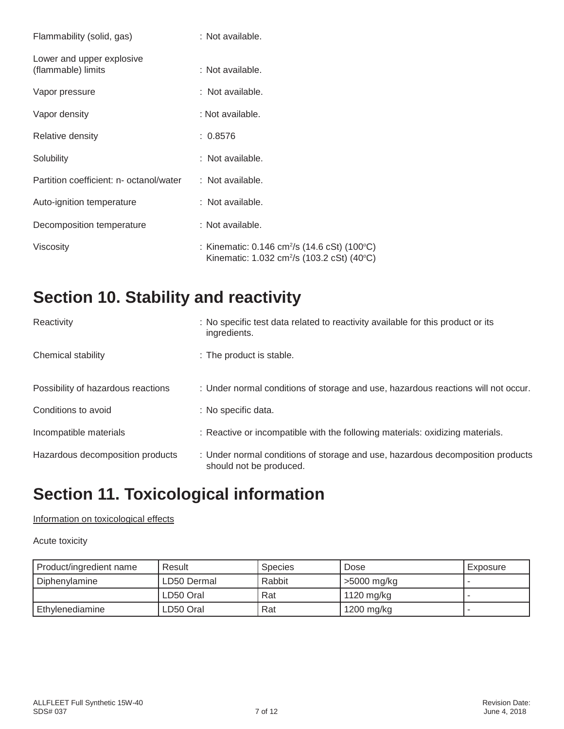| Flammability (solid, gas)                       | : Not available.                                                                                                                   |
|-------------------------------------------------|------------------------------------------------------------------------------------------------------------------------------------|
| Lower and upper explosive<br>(flammable) limits | : Not available.                                                                                                                   |
| Vapor pressure                                  | : Not available.                                                                                                                   |
| Vapor density                                   | : Not available.                                                                                                                   |
| Relative density                                | : 0.8576                                                                                                                           |
| Solubility                                      | : Not available.                                                                                                                   |
| Partition coefficient: n- octanol/water         | $:$ Not available.                                                                                                                 |
| Auto-ignition temperature                       | : Not available.                                                                                                                   |
| Decomposition temperature                       | : Not available.                                                                                                                   |
| Viscosity                                       | : Kinematic: $0.146 \text{ cm}^2/\text{s}$ (14.6 cSt) (100 $^{\circ}$ C)<br>Kinematic: 1.032 cm <sup>2</sup> /s (103.2 cSt) (40°C) |

### **Section 10. Stability and reactivity**

| Reactivity                         | : No specific test data related to reactivity available for this product or its<br>ingredients.           |
|------------------------------------|-----------------------------------------------------------------------------------------------------------|
| Chemical stability                 | : The product is stable.                                                                                  |
| Possibility of hazardous reactions | : Under normal conditions of storage and use, hazardous reactions will not occur.                         |
| Conditions to avoid                | : No specific data.                                                                                       |
| Incompatible materials             | : Reactive or incompatible with the following materials: oxidizing materials.                             |
| Hazardous decomposition products   | : Under normal conditions of storage and use, hazardous decomposition products<br>should not be produced. |

### **Section 11. Toxicological information**

### Information on toxicological effects

#### Acute toxicity

| Product/ingredient name | Result      | <b>Species</b> | Dose         | Exposure |
|-------------------------|-------------|----------------|--------------|----------|
| Diphenylamine           | LD50 Dermal | Rabbit         | >5000 mg/kg  |          |
|                         | LD50 Oral   | Rat            | 1120 mg/kg   |          |
| Ethylenediamine         | LD50 Oral   | Rat            | $1200$ mg/kg |          |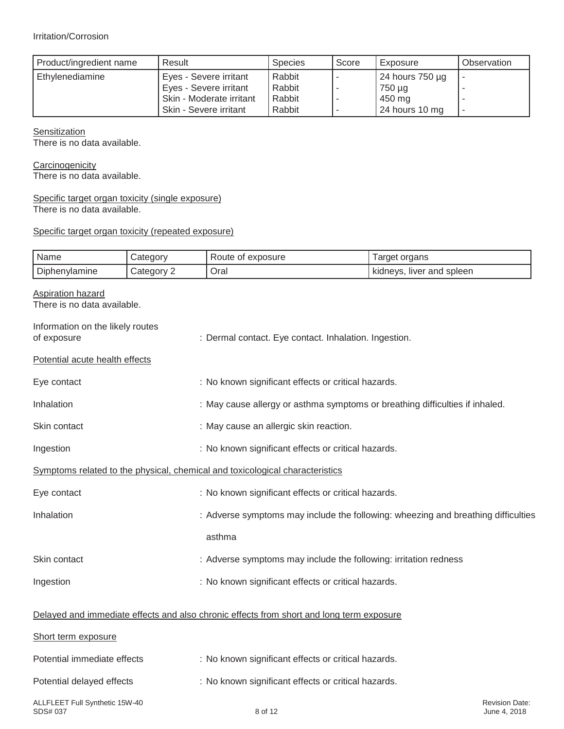| Product/ingredient name | Result                   | <b>Species</b> | Score | Exposure             | Observation |
|-------------------------|--------------------------|----------------|-------|----------------------|-------------|
| Ethylenediamine         | Eyes - Severe irritant   | Rabbit         |       | 24 hours $750 \mu g$ |             |
|                         | Eyes - Severe irritant   | Rabbit         |       | 750 µg               |             |
|                         | Skin - Moderate irritant | Rabbit         |       | 450 mg               |             |
|                         | Skin - Severe irritant   | Rabbit         |       | 24 hours 10 mg       |             |

**Sensitization** 

There is no data available.

**Carcinogenicity** There is no data available.

#### Specific target organ toxicity (single exposure) There is no data available.

#### Specific target organ toxicity (repeated exposure)

| Name                                                    | Category   | Route of exposure                                                                        | Target organs                         |  |  |  |
|---------------------------------------------------------|------------|------------------------------------------------------------------------------------------|---------------------------------------|--|--|--|
| Diphenylamine                                           | Category 2 | Oral                                                                                     | kidneys, liver and spleen             |  |  |  |
| <b>Aspiration hazard</b><br>There is no data available. |            |                                                                                          |                                       |  |  |  |
| Information on the likely routes<br>of exposure         |            | : Dermal contact. Eye contact. Inhalation. Ingestion.                                    |                                       |  |  |  |
| Potential acute health effects                          |            |                                                                                          |                                       |  |  |  |
| Eye contact                                             |            | : No known significant effects or critical hazards.                                      |                                       |  |  |  |
| Inhalation                                              |            | : May cause allergy or asthma symptoms or breathing difficulties if inhaled.             |                                       |  |  |  |
| Skin contact                                            |            | : May cause an allergic skin reaction.                                                   |                                       |  |  |  |
| Ingestion                                               |            | : No known significant effects or critical hazards.                                      |                                       |  |  |  |
|                                                         |            | Symptoms related to the physical, chemical and toxicological characteristics             |                                       |  |  |  |
| Eye contact                                             |            | : No known significant effects or critical hazards.                                      |                                       |  |  |  |
| Inhalation                                              |            | : Adverse symptoms may include the following: wheezing and breathing difficulties        |                                       |  |  |  |
|                                                         |            | asthma                                                                                   |                                       |  |  |  |
| Skin contact                                            |            | : Adverse symptoms may include the following: irritation redness                         |                                       |  |  |  |
| Ingestion                                               |            | : No known significant effects or critical hazards.                                      |                                       |  |  |  |
|                                                         |            | Delayed and immediate effects and also chronic effects from short and long term exposure |                                       |  |  |  |
| Short term exposure                                     |            |                                                                                          |                                       |  |  |  |
| Potential immediate effects                             |            | : No known significant effects or critical hazards.                                      |                                       |  |  |  |
| Potential delayed effects                               |            | : No known significant effects or critical hazards.                                      |                                       |  |  |  |
| ALLFLEET Full Synthetic 15W-40<br>SDS# 037              |            | 8 of 12                                                                                  | <b>Revision Date:</b><br>June 4, 2018 |  |  |  |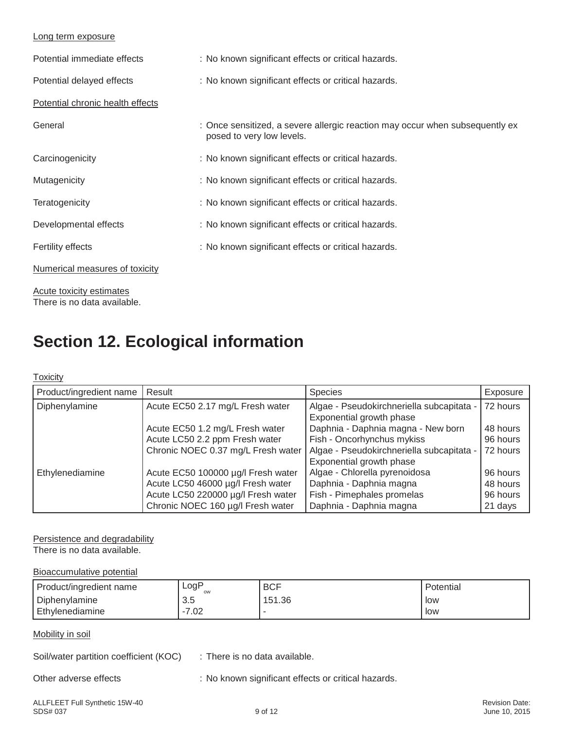#### Long term exposure

| Potential immediate effects      | : No known significant effects or critical hazards.                                                       |
|----------------------------------|-----------------------------------------------------------------------------------------------------------|
| Potential delayed effects        | : No known significant effects or critical hazards.                                                       |
| Potential chronic health effects |                                                                                                           |
| General                          | : Once sensitized, a severe allergic reaction may occur when subsequently ex<br>posed to very low levels. |
| Carcinogenicity                  | : No known significant effects or critical hazards.                                                       |
| Mutagenicity                     | : No known significant effects or critical hazards.                                                       |
| Teratogenicity                   | : No known significant effects or critical hazards.                                                       |
| Developmental effects            | : No known significant effects or critical hazards.                                                       |
| <b>Fertility effects</b>         | : No known significant effects or critical hazards.                                                       |
| Numerical measures of toxicity   |                                                                                                           |

Acute toxicity estimates There is no data available.

### **Section 12. Ecological information**

#### **Toxicity**

| Product/ingredient name | Result                             | <b>Species</b>                            | Exposure |
|-------------------------|------------------------------------|-------------------------------------------|----------|
| Diphenylamine           | Acute EC50 2.17 mg/L Fresh water   | Algae - Pseudokirchneriella subcapitata - | 72 hours |
|                         |                                    | Exponential growth phase                  |          |
|                         | Acute EC50 1.2 mg/L Fresh water    | Daphnia - Daphnia magna - New born        | 48 hours |
|                         | Acute LC50 2.2 ppm Fresh water     | Fish - Oncorhynchus mykiss                | 96 hours |
|                         | Chronic NOEC 0.37 mg/L Fresh water | Algae - Pseudokirchneriella subcapitata - | 72 hours |
|                         |                                    | Exponential growth phase                  |          |
| Ethylenediamine         | Acute EC50 100000 µg/l Fresh water | Algae - Chlorella pyrenoidosa             | 96 hours |
|                         | Acute LC50 46000 µg/l Fresh water  | Daphnia - Daphnia magna                   | 48 hours |
|                         | Acute LC50 220000 µg/l Fresh water | Fish - Pimephales promelas                | 96 hours |
|                         | Chronic NOEC 160 µg/l Fresh water  | Daphnia - Daphnia magna                   | 21 days  |

#### Persistence and degradability

There is no data available.

#### Bioaccumulative potential

| Product/ingredient name | $\textsf{logP}$<br>ow | <b>BCF</b> | Potential |
|-------------------------|-----------------------|------------|-----------|
| Diphenylamine           | ົ<br>ິບ.ບ             | 151.36     | low       |
| Ethylenediamine         | $\cap$<br>.UZ         |            | low       |

#### Mobility in soil

Soil/water partition coefficient (KOC) : There is no data available.

Other adverse effects : No known significant effects or critical hazards.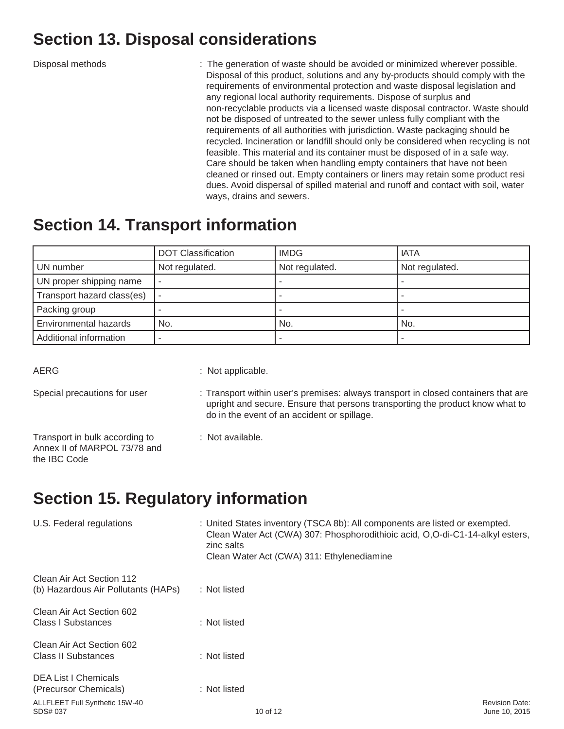### **Section 13. Disposal considerations**

Disposal methods : The generation of waste should be avoided or minimized wherever possible. Disposal of this product, solutions and any by-products should comply with the requirements of environmental protection and waste disposal legislation and any regional local authority requirements. Dispose of surplus and non-recyclable products via a licensed waste disposal contractor. Waste should not be disposed of untreated to the sewer unless fully compliant with the requirements of all authorities with jurisdiction. Waste packaging should be recycled. Incineration or landfill should only be considered when recycling is not feasible. This material and its container must be disposed of in a safe way. Care should be taken when handling empty containers that have not been cleaned or rinsed out. Empty containers or liners may retain some product resi dues. Avoid dispersal of spilled material and runoff and contact with soil, water ways, drains and sewers.

### **Section 14. Transport information**

|                            | <b>DOT Classification</b> | <b>IMDG</b>    | <b>IATA</b>    |
|----------------------------|---------------------------|----------------|----------------|
| UN number                  | Not regulated.            | Not regulated. | Not regulated. |
| UN proper shipping name    |                           |                |                |
| Transport hazard class(es) |                           |                |                |
| Packing group              |                           |                |                |
| Environmental hazards      | No.                       | No.            | No.            |
| Additional information     |                           |                |                |

AERG : Not applicable.

- Special precautions for user : Transport within user's premises: always transport in closed containers that are upright and secure. Ensure that persons transporting the product know what to do in the event of an accident or spillage.
- Transport in bulk according to : Not available. Annex II of MARPOL 73/78 and the IBC Code
- 

# **Section 15. Regulatory information**

| U.S. Federal regulations                                         | : United States inventory (TSCA 8b): All components are listed or exempted.<br>Clean Water Act (CWA) 307: Phosphorodithioic acid, O,O-di-C1-14-alkyl esters,<br>zinc salts<br>Clean Water Act (CWA) 311: Ethylenediamine |                                        |
|------------------------------------------------------------------|--------------------------------------------------------------------------------------------------------------------------------------------------------------------------------------------------------------------------|----------------------------------------|
| Clean Air Act Section 112<br>(b) Hazardous Air Pollutants (HAPs) | : Not listed                                                                                                                                                                                                             |                                        |
| Clean Air Act Section 602<br>Class I Substances                  | : Not listed                                                                                                                                                                                                             |                                        |
| Clean Air Act Section 602<br>Class II Substances                 | : Not listed                                                                                                                                                                                                             |                                        |
| <b>DEA List I Chemicals</b><br>(Precursor Chemicals)             | : Not listed                                                                                                                                                                                                             |                                        |
| ALLFLEET Full Synthetic 15W-40<br>SDS# 037                       | 10 of 12                                                                                                                                                                                                                 | <b>Revision Date:</b><br>June 10, 2015 |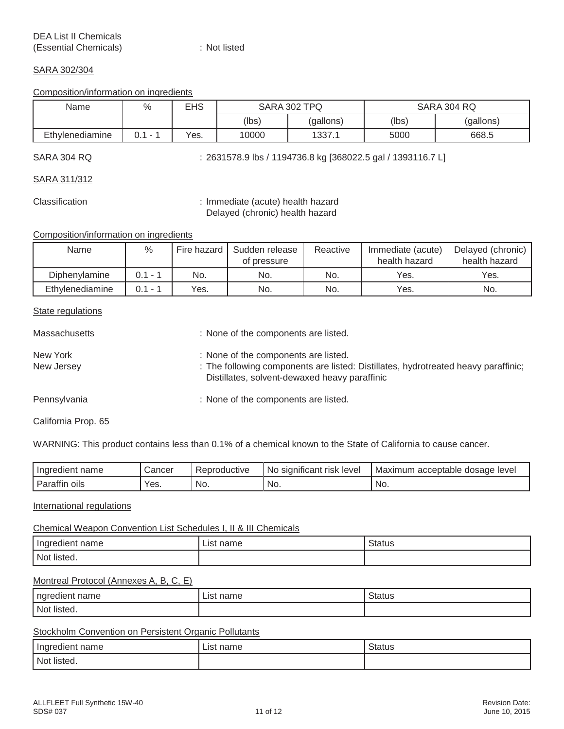#### SARA 302/304

#### Composition/information on ingredients

| Name            | %   | <b>EHS</b> | SARA 302 TPQ |           |       | SARA 304 RQ |
|-----------------|-----|------------|--------------|-----------|-------|-------------|
|                 |     |            | (lbs)        | (gallons) | (lbs) | (gallons)   |
| Ethylenediamine | ↑ ላ | Yes.       | 10000        | 1337.     | 5000  | 668.5       |

SARA 304 RQ : 2631578.9 lbs / 1194736.8 kg [368022.5 gal / 1393116.7 L]

SARA 311/312

Classification : Immediate (acute) health hazard Delayed (chronic) health hazard

Composition/information on ingredients

| Name            | %          | Fire hazard | Sudden release<br>of pressure | Reactive | Immediate (acute)<br>health hazard | Delayed (chronic)<br>health hazard |
|-----------------|------------|-------------|-------------------------------|----------|------------------------------------|------------------------------------|
| Diphenvlamine   | 0.1<br>- 1 | No.         | No.                           | No.      | Yes.                               | Yes.                               |
| Ethylenediamine | 0.1<br>- 1 | Yes.        | No.                           | No.      | Yes.                               | No.                                |

#### State regulations

| <b>Massachusetts</b>   | : None of the components are listed.                                                                                                                                        |
|------------------------|-----------------------------------------------------------------------------------------------------------------------------------------------------------------------------|
| New York<br>New Jersey | : None of the components are listed.<br>: The following components are listed: Distillates, hydrotreated heavy paraffinic;<br>Distillates, solvent-dewaxed heavy paraffinic |
| Pennsylvania           | : None of the components are listed.                                                                                                                                        |

California Prop. 65

WARNING: This product contains less than 0.1% of a chemical known to the State of California to cause cancer.

| Ingredient<br>name   | Cancer | roductive<br>. Repro | $\ddot{\phantom{0}}$<br>level<br>significant<br>risk<br>No. | acceptable dosage level<br>Maximun |
|----------------------|--------|----------------------|-------------------------------------------------------------|------------------------------------|
| <br>OIIS<br>Parattır | Yes.   | No.                  | No.                                                         | No.                                |

#### International regulations

#### Chemical Weapon Convention List Schedules I, II & III Chemicals

| Ingredient name  | name<br>List | Status |
|------------------|--------------|--------|
| Not listed.<br>. |              |        |

#### Montreal Protocol (Annexes A, B, C, E)

| $\cdots$<br>ngredient<br>name | name<br>∟lS† | <b>Status</b> |
|-------------------------------|--------------|---------------|
| Not listed.<br>.              |              |               |

#### Stockholm Convention on Persistent Organic Pollutants

| name<br>. пэпт.  | $n \sim m$<br>_IS'<br>name<br>$\sim$ | Status<br>. |
|------------------|--------------------------------------|-------------|
| Not listed.<br>. |                                      |             |